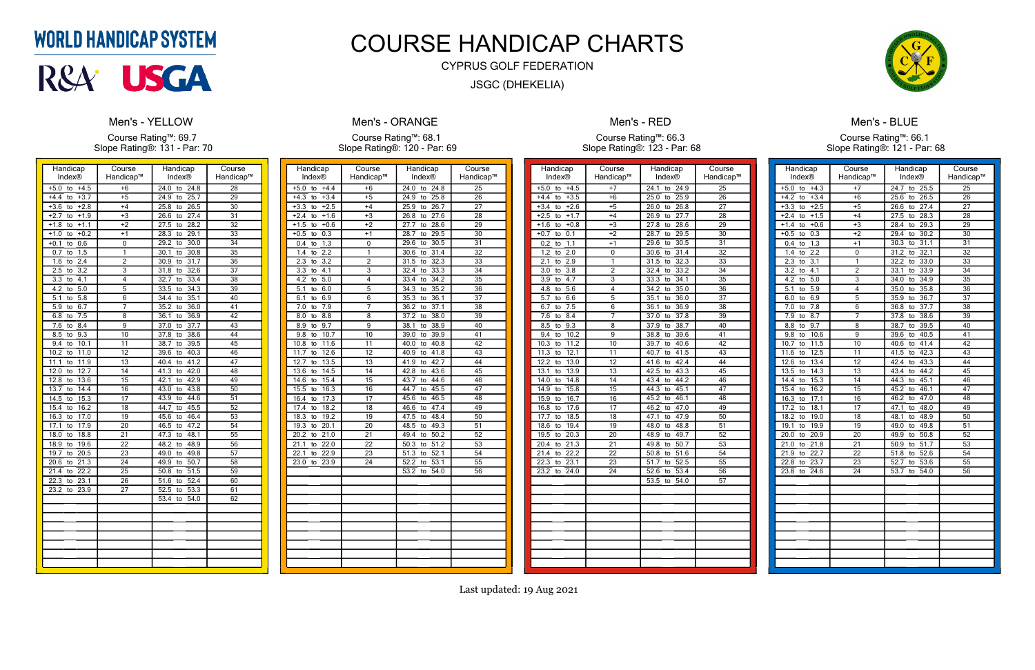| Handicap<br>Index®                         | Course<br>Handicap™       | Handicap<br><b>Index®</b> | Course<br>Handicap™ |
|--------------------------------------------|---------------------------|---------------------------|---------------------|
| $+4.5$<br>$+5.0$<br>to                     | $+6$                      | 24.0<br>24.8<br>to        | 28                  |
| $+3.7$<br>$+4.4$<br>to                     | $+5$                      | 24.9<br>25.7<br>to        | 29                  |
| $+3.6$<br>$+2.8$<br>to                     | $+4$                      | 25.8<br>26.5<br>to        | $\overline{30}$     |
| $+2.7$<br>$+1.9$<br>to                     | $+3$                      | 27.4<br>26.6<br>to        | 31                  |
| $+1.8$<br>$+1.1$<br>to                     | +2                        | 27.5<br>28.2<br>to        | $\overline{32}$     |
| $+1.0$<br>$+0.2$<br>to                     | $+1$                      | 28.3<br>29.1<br>to        | $\overline{33}$     |
| $+0.1$<br>0.6<br>to                        | 0                         | 29.2<br>30.0<br>to        | 34                  |
| 0.7<br>1.5<br>to                           | $\overline{\mathbf{1}}$   | 30.1<br>30.8<br>to        | $\overline{35}$     |
| 1.6<br>2.4<br>to                           | $\overline{2}$            | 30.9<br>31.7<br>to        | $\overline{36}$     |
| $\overline{3.2}$<br>$\overline{2.5}$<br>to | $\overline{\overline{3}}$ | 32.6<br>31.8<br>to        | $\overline{37}$     |
| 3.3<br>4.1<br>to                           | 4                         | 32.7<br>33.4<br>to        | $\overline{38}$     |
| 4.2<br>5.0<br>to                           | 5                         | 33.5<br>34.3<br>to        | 39                  |
| 5.1<br>5.8<br>to                           | 6                         | 35.1<br>34.4<br>to        | 40                  |
| 5.9<br>6.7<br>to                           | 7                         | 35.2<br>36.0<br>to        | $\overline{41}$     |
| 6.8<br>7.5<br>to                           | 8                         | 36.1<br>36.9<br>to        | $\overline{42}$     |
| 7.6<br>8.4<br>to                           | $\overline{9}$            | 37.7<br>37.0<br>to        | 43                  |
| 9.3<br>8.5<br>to                           | 10                        | 38.6<br>37.8<br>to        | 44                  |
| 9.4<br>10.1<br>to                          | 11                        | 38.7<br>39.5<br>to        | 45                  |
| 10.2<br>11.0<br>to                         | 12                        | 39.6<br>40.3<br>to        | 46                  |
| 11.1<br>11.9<br>to                         | 13                        | 41.2<br>40.4<br>to        | 47                  |
| 12.0<br>12.7<br>to                         | 14                        | 42.0<br>41.3<br>to        | 48                  |
| 12.8<br>13.6<br>to                         | 15                        | 42.1<br>42.9<br>to        | 49                  |
| 13.7<br>14.4<br>to                         | 16                        | 43.8<br>43.0<br>to        | 50                  |
| $\overline{14.5}$<br>15.3<br>to            | 17                        | 43.9<br>44.6<br>to        | $\overline{51}$     |
| 15.4<br>16.2<br>to                         | 18                        | 45.5<br>44.7<br>to        | $\overline{52}$     |
| 17.0<br>16.3<br>to                         | 19                        | 45.6<br>46.4<br>to        | 53                  |
| 17.1<br>17.9<br>to                         | $\overline{20}$           | 47.2<br>46.5<br>to        | $\overline{54}$     |
| 18.0<br>18.8<br>to                         | $\overline{21}$           | 47.3<br>48.1<br>to        | $\overline{55}$     |
| 19.6<br>18.9<br>to                         | $\overline{22}$           | 48.2<br>48.9<br>to        | $\overline{56}$     |
| 19.7<br>20.5<br>to                         | $\overline{23}$           | 49.0<br>49.8<br>to        | 57                  |
| 20.6<br>21.3<br>to                         | 24                        | 49.9<br>50.7<br>to        | 58                  |
| 22.2<br>21.4<br>to                         | $\overline{25}$           | 50.8<br>51.5<br>to        | 59                  |
| 22.3<br>23.1<br>to                         | 26                        | 51.6<br>52.4<br>to        | 60                  |
| 23.2<br>23.9<br>to                         | 27                        | 52.5<br>53.3<br>to        | 61                  |
|                                            |                           | 53.4<br>54.0<br>to        | $\overline{62}$     |
|                                            |                           |                           |                     |
|                                            |                           |                           |                     |
|                                            |                           |                           |                     |
|                                            |                           |                           |                     |
|                                            |                           |                           |                     |
|                                            |                           |                           |                     |
|                                            |                           |                           |                     |

## **WORLD HANDICAP SYSTEM**



### **Men's - YELLOW**

Course Rating™: 69.7 Slope Rating®: 131 - Par: 70

| Handicap                        | Course          | Handicap           | Course          |
|---------------------------------|-----------------|--------------------|-----------------|
| Index®                          | Handicap™       | Index®             | Handicap™       |
| $+5.0$<br>$+4.4$<br>to          | $+6$            | 24.8<br>24.0<br>to | 25              |
| $+4.3$<br>$+3.4$<br>to          | $+5$            | 24.9<br>25.8<br>to | $2\overline{6}$ |
| $+3.3$<br>$+2.5$<br>to          | $+4$            | 26.7<br>25.9<br>to | 27              |
| $+2.4$<br>$+1.6$<br>to          | $+3$            | 26.8<br>27.6<br>to | $\overline{28}$ |
| $+0.6$<br>$+1.5$<br>to          | $+2$            | 27.7<br>28.6<br>to | $\overline{29}$ |
| 0.3<br>$+0.5$<br>to             | $+1$            | 29.5<br>28.7<br>to | 30              |
| $\overline{1.3}$<br>0.4<br>to   | 0               | 29.6<br>30.5<br>to | 31              |
| $\overline{2.2}$<br>1.4<br>to   | 1               | 30.6<br>31.4<br>to | $\overline{32}$ |
| $\overline{3.2}$<br>2.3<br>to   | $\overline{2}$  | 32.3<br>31.5<br>to | 33              |
| 3.3<br>4.1<br>to                | 3               | 32.4<br>33.3<br>to | 34              |
| 4.2<br>5.0<br>to                | 4               | 33.4<br>34.2<br>to | $\overline{35}$ |
| 6.0<br>5.1<br>to                | 5               | 35.2<br>34.3<br>to | 36              |
| 6.9<br>6.1<br>to                | 6               | 35.3<br>36.1<br>to | $\overline{37}$ |
| 7.9<br>7.0<br>to                | 7               | 36.2<br>37.1<br>to | $\overline{38}$ |
| 8.8<br>8.0<br>to                | 8               | 37.2<br>38.0<br>to | $\overline{39}$ |
| 8.9<br>9.7<br>to                | 9               | 38.1<br>38.9<br>to | 40              |
| 9.8<br>10.7<br>to               | 10              | 39.0<br>39.9<br>to | 41              |
| 10.8<br>11.6<br>to              | 11              | 40.8<br>40.0<br>to | 42              |
| 11.7<br>12.6<br>to              | $\overline{12}$ | 40.9<br>41.8<br>to | 43              |
| 12.7<br>13.5<br>to              | $\overline{13}$ | 41.9<br>42.7<br>to | 44              |
| 13.6<br>14.5<br>to              | 14              | 43.6<br>42.8<br>to | 45              |
| 15.4<br>14.6<br>to              | 15              | 43.7<br>44.6<br>to | 46              |
| 15.5<br>16.3<br>to              | $\overline{16}$ | 44.7<br>45.5<br>to | 47              |
| 17.3<br>16.4<br>to              | $\overline{17}$ | 45.6<br>46.5<br>to | 48              |
| $\overline{18.2}$<br>17.4<br>to | $\overline{18}$ | 47.4<br>46.6<br>to | 49              |
| 18.3<br>19.2<br>to              | $\overline{19}$ | 47.5<br>48.4<br>to | $\overline{50}$ |
| 19.3<br>20.1<br>to              | 20              | 48.5<br>49.3<br>to | 51              |
| 20.2<br>21.0<br>to              | $\overline{21}$ | 49.4<br>50.2<br>to | $\overline{52}$ |
| 21.1<br>22.0<br>to              | $\overline{22}$ | 50.3<br>51.2<br>to | $\overline{53}$ |
| 22.1<br>22.9<br>to              | 23              | 52.1<br>51.3<br>to | $\overline{54}$ |
| 23.0<br>23.9<br>to              | 24              | 52.2<br>53.1<br>to | 55              |
|                                 |                 | 53.2<br>54.0<br>to | 56              |
|                                 |                 |                    |                 |
|                                 |                 |                    |                 |
|                                 |                 |                    |                 |
|                                 |                 |                    |                 |
|                                 |                 |                    |                 |
|                                 |                 |                    |                 |
|                                 |                 |                    |                 |
|                                 |                 |                    |                 |
|                                 |                 |                    |                 |
|                                 |                 |                    |                 |

## **Men's - ORANGE**

Course Rating™: 68.1 Slope Rating®: 120 - Par: 69

| Handicap                                   | Course          | Handicap                        | Course          |
|--------------------------------------------|-----------------|---------------------------------|-----------------|
| <b>Index®</b>                              | Handicap™       | Index®                          | Handicap™       |
|                                            |                 |                                 |                 |
| $+4.5$<br>$+5.0$<br>to                     | $+7$            | 24.1<br>24.9<br>to              | $\overline{25}$ |
| $+4.4$<br>$+3.5$<br>to                     | $+6$            | 25.0<br>25.9<br>to              | 26              |
| $+2.6$<br>$+3.4$<br>to                     | $+5$            | 26.8<br>26.0<br>to              | 27              |
| $+2.5$<br>$+1.7$<br>to                     | $+4$            | 26.9<br>27.7<br>to              | 28              |
| $+1.6$<br>$+0.8$<br>to                     | $\overline{+3}$ | 27.8<br>28.6<br>to              | 29              |
| 0.1<br>$+0.7$<br>to                        | $+2$            | 28.7<br>29.5<br>to              | 30              |
| 0.2<br>1.1<br>to                           | $+1$            | 29.6<br>30.5<br>to              | 31              |
| 1.2<br>2.0<br>to                           | 0               | 31.4<br>30.6<br>to              | 32              |
| 2.1<br>2.9<br>to                           | 1               | 32.3<br>31.5<br>to              | 33              |
| $\overline{3.0}$<br>$\overline{3.8}$<br>to | $\overline{2}$  | 33.2<br>32.4<br>to              | $\overline{34}$ |
| $\overline{4.7}$<br>3.9<br>to              | $\overline{3}$  | 33.3<br>34.1<br>to              | 35              |
| $5.\overline{6}$<br>4.8<br>to              | 4               | 35.0<br>34.2<br>to              | 36              |
| 5.7<br>6.6<br>to                           | 5               | 36.0<br>35.1<br>to              | 37              |
| 6.7<br>7.5<br>to                           | 6               | 36.1<br>36.9<br>to              | 38              |
| 7.6<br>8.4<br>to                           | $\overline{7}$  | 37.8<br>37.0<br>to              | 39              |
| 8.5<br>9.3<br>to                           | 8               | 38.7<br>37.9<br>to              | 40              |
| 9.4<br>10.2<br>to                          | 9               | 38.8<br>39.6<br>to              | 41              |
| 10.3<br>11.2<br>to                         | 10              | 39.7<br>40.6<br>to              | 42              |
| 11.3<br>12.1<br>to                         | 11              | 41.5<br>40.7<br>to              | 43              |
| 12.2<br>13.0<br>to                         | $\overline{12}$ | to $42.4$<br>41.6               | 44              |
| 13.9<br>13.1<br>to                         | $\overline{13}$ | 43.3<br>42.5<br>to              | 45              |
| 14.8<br>14.0<br>to                         | 14              | 44.2<br>43.4<br>to              | 46              |
| 15.8<br>14.9<br>to                         | $\overline{15}$ | 44.3<br>45.1<br>to              | 47              |
| 15.9<br>16.7<br>to                         | $\overline{16}$ | 46.1<br>45.2<br>to              | 48              |
| 16.8<br>17.6<br>to                         | $\overline{17}$ | 47.0<br>46.2<br>to              | 49              |
| 17.7<br>18.5<br>to                         | $\overline{18}$ | 47.9<br>47.1<br>to              | 50              |
| 19.4<br>18.6<br>to                         | 19              | 48.8<br>48.0<br>to              | 51              |
| 19.5<br>20.3<br>to                         | 20              | 48.9<br>49.7<br>to              | 52              |
| 21.3<br>20.4<br>to                         | $\overline{21}$ | 50.7<br>49.8<br>to              | 53              |
| 22.2<br>21.4<br>to                         | 22              | 51.6<br>50.8<br>to              | 54              |
| 22.3<br>23.1<br>to                         | 23              | $\overline{52.5}$<br>51.7<br>to | 55              |
| 23.2<br>24.0<br>to                         | 24              | 53.4<br>52.6<br>to              | 56              |
|                                            |                 | 54.0<br>53.5<br>to              | 57              |
|                                            |                 |                                 |                 |
|                                            |                 |                                 |                 |
|                                            |                 |                                 |                 |
|                                            |                 |                                 |                 |
|                                            |                 |                                 |                 |
|                                            |                 |                                 |                 |
|                                            |                 |                                 |                 |
|                                            |                 |                                 |                 |
|                                            |                 |                                 |                 |
|                                            |                 |                                 |                 |

### Men's - RED

Course Rating™: 66.3 Slope Rating®: 123 - Par: 68

| Handicap                        | Course                    | Handicap                        | Course          |
|---------------------------------|---------------------------|---------------------------------|-----------------|
| Index®                          | Handicap™                 | <b>Index®</b>                   | Handicap™       |
| $+5.0$<br>$+4.3$<br>to          | $+7$                      | 24.7<br>25.5<br>to              | 25              |
| $+4.2$<br>to<br>$+3.4$          | +6                        | 25.6<br>to<br>26.5              | 26              |
| $+3.3$<br>$+2.5$<br>to          | $+5$                      | 26.6<br>27.4<br>to              | $\overline{27}$ |
| $+2.4$<br>$+1.5$<br>to          | $+4$                      | $\overline{27.5}$<br>28.3<br>to | $\overline{28}$ |
| $+1.4$<br>$+0.6$<br>to          | $\overline{+3}$           | 28.4<br>29.3<br>to              | $\overline{29}$ |
| 0.3<br>$+0.5$<br>to             | $+2$                      | 29.4<br>30.2<br>to              | $\overline{30}$ |
| 0.4<br>1.3<br>to                | $+1$                      | 30.3<br>31.1<br>to              | 31              |
| 2.2<br>1.4<br>to                | 0                         | 31.2<br>32.1<br>to              | $\overline{32}$ |
| 2.3<br>3.1<br>to                | $\overline{\mathbf{1}}$   | 32.2<br>33.0<br>to              | $\overline{33}$ |
| $\overline{3.2}$<br>4.1<br>to   | $\overline{2}$            | 33.9<br>33.1<br>to              | 34              |
| 4.2<br>5.0<br>to                | $\overline{\overline{3}}$ | 34.9<br>34.0<br>to              | $\overline{35}$ |
| 5.1<br>5.9<br>to                | 4                         | 35.0<br>35.8<br>to              | 36              |
| 6.0<br>6.9<br>to                | $\overline{5}$            | 35.9<br>36.7<br>to              | 37              |
| $\overline{7.0}$<br>7.8<br>to   | $\overline{6}$            | 36.8<br>37.7<br>to              | $\overline{38}$ |
| 7.9<br>8.7<br>to                | 7                         | 37.8<br>38.6<br>to              | $\overline{39}$ |
| 8.8<br>9.7<br>to                | $\overline{8}$            | 38.7<br>39.5<br>to              | 40              |
| 9.8<br>10.6<br>to               | 9                         | 40.5<br>39.6<br>to              | $\overline{41}$ |
| 10.7<br>11.5<br>to              | 10                        | 40.6<br>41.4<br>to              | 42              |
| 12.5<br>11.6<br>to              | 11                        | 41.5<br>42.3<br>to              | 43              |
| 12.6<br>13.4<br>to              | 12                        | 42.4<br>43.3<br>to              | 44              |
| 14.3<br>13.5<br>to              | $\overline{13}$           | 44.2<br>43.4<br>to              | 45              |
| 14.4<br>15.3<br>to              | 14                        | 44.3<br>45.1<br>to              | 46              |
| 15.4<br>16.2<br>to              | $\overline{15}$           | 45.2<br>46.1<br>to              | $\overline{47}$ |
| 16.3<br>17.1<br>to              | 16                        | 47.0<br>46.2<br>to              | 48              |
| 17.2<br>18.1<br>to              | 17                        | 47.1<br>48.0<br>to              | 49              |
| 18.2<br>19.0<br>to              | $\overline{18}$           | 48.1<br>48.9<br>to              | 50              |
| 19.1<br>19.9<br>to              | 19                        | 49.8<br>49.0<br>to              | 51              |
| 20.9<br>20.0<br>to              | 20                        | 49.9<br>50.8<br>to              | 52              |
| $\overline{21.0}$<br>21.8<br>to | $\overline{21}$           | 50.9<br>51.7<br>to              | 53              |
| 22.7<br>21.9<br>to              | 22                        | 51.8<br>52.6<br>to              | 54              |
| 22.8<br>23.7<br>to              | 23                        | 53.6<br>52.7<br>to              | 55              |
| 23.8<br>24.6<br>to              | 24                        | 53.7<br>54.0<br>to              | 56              |
|                                 |                           |                                 |                 |
|                                 |                           |                                 |                 |
|                                 |                           |                                 |                 |
|                                 |                           |                                 |                 |
|                                 |                           |                                 |                 |
|                                 |                           |                                 |                 |
|                                 |                           |                                 |                 |
|                                 |                           |                                 |                 |
|                                 |                           |                                 |                 |
|                                 |                           |                                 |                 |

## Men's - BLUE Course Rating™: 66.1 Slope Rating®: 121 - Par: 68

# COURSE HANDICAP CHARTS

## CYPRUS GOLF FEDERATION JSGC (DHEKELIA)

Last updated: 19 Aug 2021

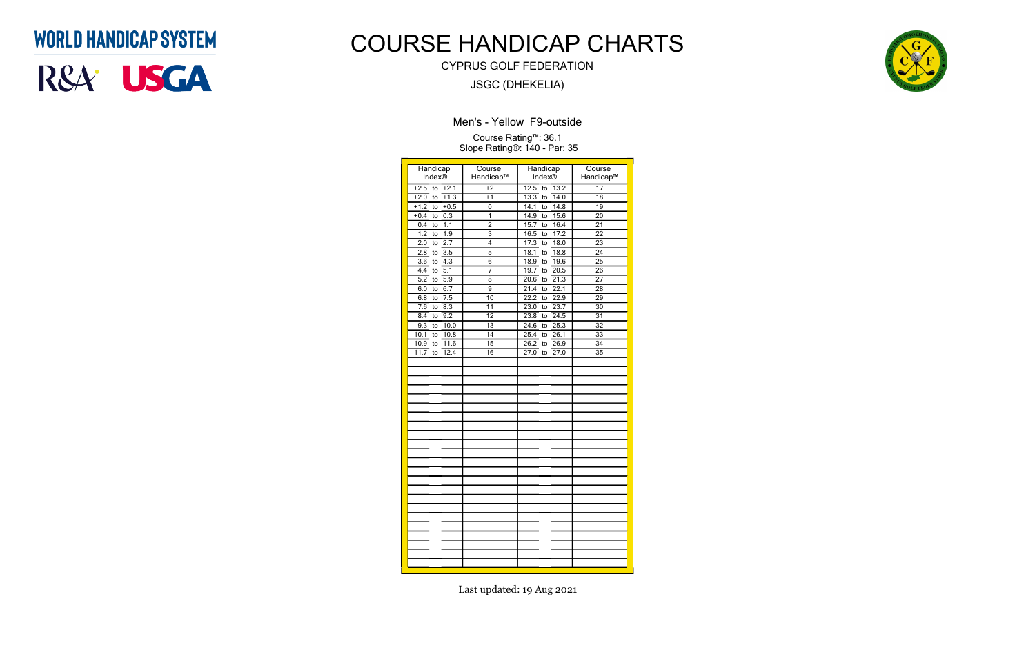| Handicap<br>Index®            | Course<br>Handicap™ | Handicap<br><b>Index®</b> | Course<br>Handicap™ |
|-------------------------------|---------------------|---------------------------|---------------------|
| $+2.5$<br>to<br>$+2.1$        | $+2$                | 12.5<br>13.2<br>to        | $\overline{17}$     |
| $+1.3$<br>$+2.0$<br>to        | $+1$                | 13.3<br>14.0<br>to        | $\overline{18}$     |
| $+1.2$<br>$+0.5$<br>to        | 0                   | 14.1<br>14.8<br>to        | 19                  |
| 0.3<br>$+0.4$<br>to           | ī                   | 15.6<br>14.9<br>to        | $\overline{20}$     |
| 0.4<br>1.1<br>to              | $\overline{2}$      | 15.7<br>16.4<br>to        | $\overline{21}$     |
| 1.2<br>1.9<br>to              | $\overline{3}$      | 16.5<br>17.2<br>to        | 22                  |
| 2.7<br>$\overline{2.0}$<br>to | $\overline{4}$      | 18.0<br>17.3<br>to        | $\overline{23}$     |
| 2.8<br>3.5<br>to              | 5                   | 18.8<br>18.1<br>to        | 24                  |
| 3.6<br>4.3<br>to              | 6                   | 18.9<br>19.6<br>to        | 25                  |
| 4.4<br>5.1<br>to              | 7                   | 19.7<br>20.5<br>to        | $\overline{26}$     |
| 5.2<br>5.9<br>to              | $\overline{8}$      | 20.6<br>21.3<br>to        | $\overline{27}$     |
| 6.7<br>6.0<br>to              | 9                   | 22.1<br>21.4<br>to        | 28                  |
| 7.5<br>6.8<br>to              | 10                  | 22.2<br>22.9<br>to        | 29                  |
| $\overline{7.6}$<br>8.3<br>to | 11                  | 23.7<br>23.0<br>to        | $\overline{30}$     |
| 8.4<br>9.2<br>to              | 12                  | 23.8<br>24.5<br>to        | 31                  |
| 9.3<br>10.0<br>to             | $\overline{13}$     | 24.6<br>25.3<br>to        | $\overline{32}$     |
| 10.1<br>10.8<br>to            | 14                  | 25.4<br>26.1<br>to        | 33                  |
| 11.6<br>10.9<br>to            | $\overline{15}$     | 26.2<br>26.9<br>to        | $\overline{34}$     |
| 12.4<br>11.7<br>to            | 16                  | 27.0<br>27.0<br>to        | $\overline{35}$     |
|                               |                     |                           |                     |
|                               |                     |                           |                     |
|                               |                     |                           |                     |
|                               |                     |                           |                     |
|                               |                     |                           |                     |
|                               |                     |                           |                     |
|                               |                     |                           |                     |
|                               |                     |                           |                     |
|                               |                     |                           |                     |
|                               |                     |                           |                     |
|                               |                     |                           |                     |
|                               |                     |                           |                     |
|                               |                     |                           |                     |
|                               |                     |                           |                     |
|                               |                     |                           |                     |
|                               |                     |                           |                     |
|                               |                     |                           |                     |
|                               |                     |                           |                     |
|                               |                     |                           |                     |
|                               |                     |                           |                     |
|                               |                     |                           |                     |
|                               |                     |                           |                     |
|                               |                     |                           |                     |

Men's - Yellow F9-outside

Course Rating™: 36.1 Slope Rating®: 140 - Par: 35

## **WORLD HANDICAP SYSTEM**



# COURSE HANDICAP CHARTS

CYPRUS GOLF FEDERATION

JSGC (DHEKELIA)

Last updated: 19 Aug 2021